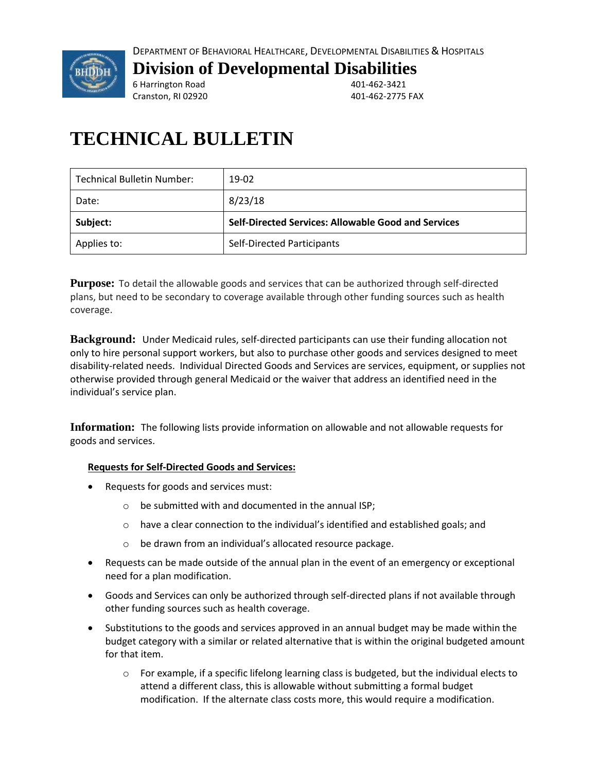

## **Division of Developmental Disabilities**

6 Harrington Road 401-462-3421 Cranston, RI 02920 401-462-2775 FAX

# **TECHNICAL BULLETIN**

| <b>Technical Bulletin Number:</b>                | 19-02                                                      |  |
|--------------------------------------------------|------------------------------------------------------------|--|
| Date:                                            | 8/23/18                                                    |  |
| Subject:                                         | <b>Self-Directed Services: Allowable Good and Services</b> |  |
| <b>Self-Directed Participants</b><br>Applies to: |                                                            |  |

**Purpose:** To detail the allowable goods and services that can be authorized through self-directed plans, but need to be secondary to coverage available through other funding sources such as health coverage.

**Background:** Under Medicaid rules, self-directed participants can use their funding allocation not only to hire personal support workers, but also to purchase other goods and services designed to meet disability-related needs. Individual Directed Goods and Services are services, equipment, or supplies not otherwise provided through general Medicaid or the waiver that address an identified need in the individual's service plan.

**Information:** The following lists provide information on allowable and not allowable requests for goods and services.

### **Requests for Self-Directed Goods and Services:**

- Requests for goods and services must:
	- o be submitted with and documented in the annual ISP;
	- o have a clear connection to the individual's identified and established goals; and
	- o be drawn from an individual's allocated resource package.
- Requests can be made outside of the annual plan in the event of an emergency or exceptional need for a plan modification.
- Goods and Services can only be authorized through self-directed plans if not available through other funding sources such as health coverage.
- Substitutions to the goods and services approved in an annual budget may be made within the budget category with a similar or related alternative that is within the original budgeted amount for that item.
	- $\circ$  For example, if a specific lifelong learning class is budgeted, but the individual elects to attend a different class, this is allowable without submitting a formal budget modification. If the alternate class costs more, this would require a modification.